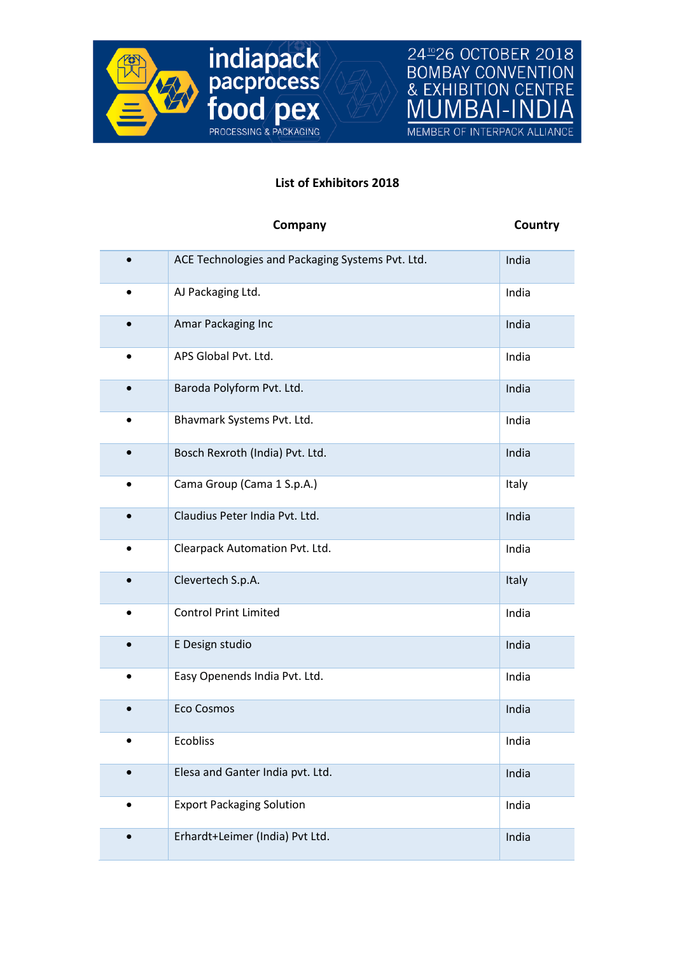



## **List of Exhibitors 2018**

|           | Company                                          | Country |
|-----------|--------------------------------------------------|---------|
|           | ACE Technologies and Packaging Systems Pvt. Ltd. | India   |
| ٠         | AJ Packaging Ltd.                                | India   |
|           | Amar Packaging Inc                               | India   |
|           | APS Global Pvt. Ltd.                             | India   |
| $\bullet$ | Baroda Polyform Pvt. Ltd.                        | India   |
|           | Bhavmark Systems Pvt. Ltd.                       | India   |
|           | Bosch Rexroth (India) Pvt. Ltd.                  | India   |
| $\bullet$ | Cama Group (Cama 1 S.p.A.)                       | Italy   |
|           | Claudius Peter India Pvt. Ltd.                   | India   |
|           | Clearpack Automation Pvt. Ltd.                   | India   |
|           | Clevertech S.p.A.                                | Italy   |
| $\bullet$ | <b>Control Print Limited</b>                     | India   |
|           | E Design studio                                  | India   |
|           | Easy Openends India Pvt. Ltd.                    | India   |
|           | <b>Eco Cosmos</b>                                | India   |
|           | <b>Ecobliss</b>                                  | India   |
|           | Elesa and Ganter India pvt. Ltd.                 | India   |
|           | <b>Export Packaging Solution</b>                 | India   |
|           | Erhardt+Leimer (India) Pvt Ltd.                  | India   |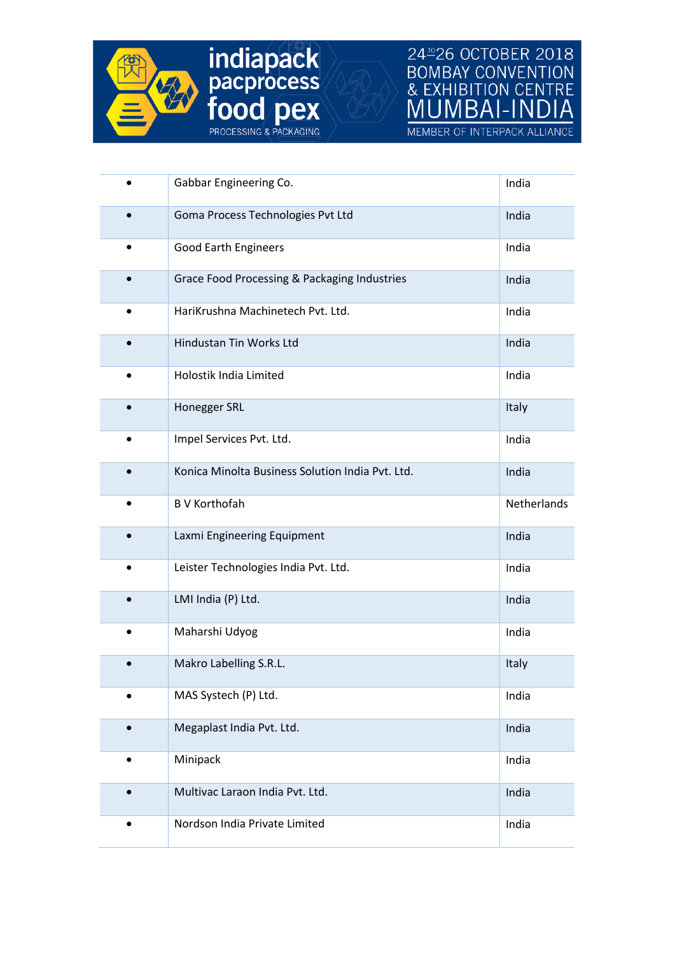

**indiapack**<br>**pacprocess**<br>**food pex**<br>**frocessing & PACKAGING** 

24<sup>m</sup>26 OCTOBER 2018<br>BOMBAY CONVENTION<br>& EXHIBITION CENTRE **MUMBAI-IN** 

MEMBER OF INTERPACK ALLIANCE

|           | Gabbar Engineering Co.                           | India       |
|-----------|--------------------------------------------------|-------------|
|           | Goma Process Technologies Pvt Ltd                | India       |
|           | Good Earth Engineers                             | India       |
| $\bullet$ | Grace Food Processing & Packaging Industries     | India       |
| ٠         | HariKrushna Machinetech Pvt. Ltd.                | India       |
|           | Hindustan Tin Works Ltd                          | India       |
|           | Holostik India Limited                           | India       |
|           | Honegger SRL                                     | Italy       |
|           | Impel Services Pvt. Ltd.                         | India       |
|           | Konica Minolta Business Solution India Pvt. Ltd. | India       |
|           | <b>B V Korthofah</b>                             | Netherlands |
|           | Laxmi Engineering Equipment                      | India       |
|           | Leister Technologies India Pvt. Ltd.             | India       |
|           | LMI India (P) Ltd.                               | India       |
|           | Maharshi Udyog                                   | India       |
|           | Makro Labelling S.R.L.                           | Italy       |
|           | MAS Systech (P) Ltd.                             | India       |
|           | Megaplast India Pvt. Ltd.                        | India       |
| $\bullet$ | Minipack                                         | India       |
|           | Multivac Laraon India Pvt. Ltd.                  | India       |
|           |                                                  |             |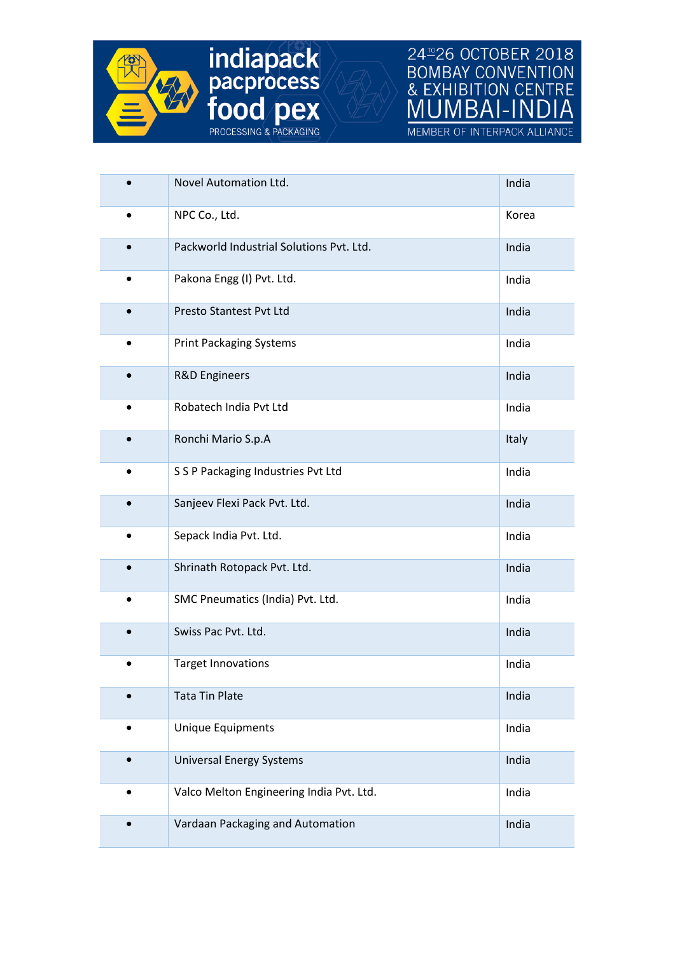

## **24<sup>2</sup>26 OCTOBER 2018**<br>BOMBAY CONVENTION<br>& EXHIBITION CENTRE<br><u>MUMBAI-INDIA</u>

MEMBER OF INTERPACK ALLIANCE

|           | Novel Automation Ltd.                    | India |
|-----------|------------------------------------------|-------|
|           | NPC Co., Ltd.                            | Korea |
|           | Packworld Industrial Solutions Pyt. Ltd. | India |
|           | Pakona Engg (I) Pvt. Ltd.                | India |
|           | Presto Stantest Pvt Ltd                  | India |
|           | <b>Print Packaging Systems</b>           | India |
|           | <b>R&amp;D Engineers</b>                 | India |
|           | Robatech India Pvt Ltd                   | India |
|           | Ronchi Mario S.p.A                       | Italy |
| $\bullet$ | S S P Packaging Industries Pvt Ltd       | India |
|           | Sanjeev Flexi Pack Pvt. Ltd.             | India |
|           | Sepack India Pvt. Ltd.                   | India |
|           | Shrinath Rotopack Pvt. Ltd.              | India |
| $\bullet$ | SMC Pneumatics (India) Pvt. Ltd.         | India |
|           | Swiss Pac Pvt. Ltd.                      | India |
|           | <b>Target Innovations</b>                | India |
|           | <b>Tata Tin Plate</b>                    | India |
|           | <b>Unique Equipments</b>                 | India |
|           | <b>Universal Energy Systems</b>          | India |
|           | Valco Melton Engineering India Pvt. Ltd. | India |
|           | Vardaan Packaging and Automation         | India |